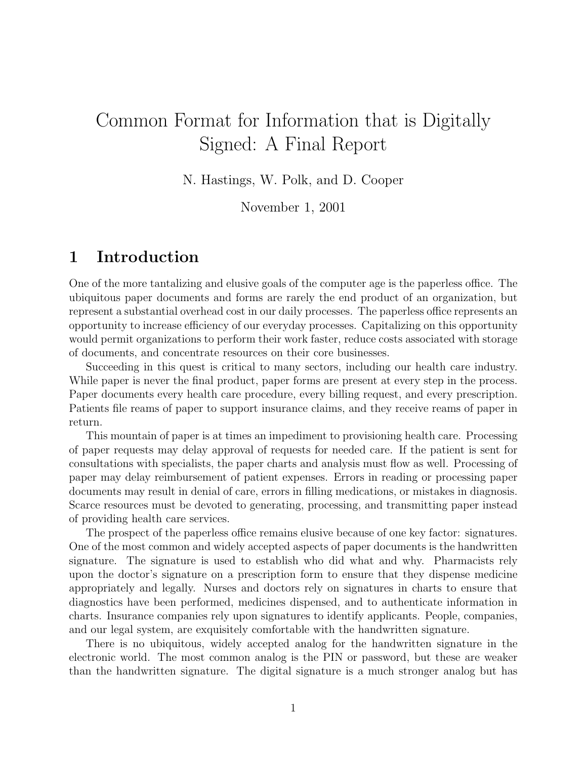# Common Format for Information that is Digitally Signed: A Final Report

N. Hastings, W. Polk, and D. Cooper

November 1, 2001

# 1 Introduction

One of the more tantalizing and elusive goals of the computer age is the paperless office. The ubiquitous paper documents and forms are rarely the end product of an organization, but represent a substantial overhead cost in our daily processes. The paperless office represents an opportunity to increase efficiency of our everyday processes. Capitalizing on this opportunity would permit organizations to perform their work faster, reduce costs associated with storage of documents, and concentrate resources on their core businesses.

Succeeding in this quest is critical to many sectors, including our health care industry. While paper is never the final product, paper forms are present at every step in the process. Paper documents every health care procedure, every billing request, and every prescription. Patients file reams of paper to support insurance claims, and they receive reams of paper in return.

This mountain of paper is at times an impediment to provisioning health care. Processing of paper requests may delay approval of requests for needed care. If the patient is sent for consultations with specialists, the paper charts and analysis must flow as well. Processing of paper may delay reimbursement of patient expenses. Errors in reading or processing paper documents may result in denial of care, errors in filling medications, or mistakes in diagnosis. Scarce resources must be devoted to generating, processing, and transmitting paper instead of providing health care services.

The prospect of the paperless office remains elusive because of one key factor: signatures. One of the most common and widely accepted aspects of paper documents is the handwritten signature. The signature is used to establish who did what and why. Pharmacists rely upon the doctor's signature on a prescription form to ensure that they dispense medicine appropriately and legally. Nurses and doctors rely on signatures in charts to ensure that diagnostics have been performed, medicines dispensed, and to authenticate information in charts. Insurance companies rely upon signatures to identify applicants. People, companies, and our legal system, are exquisitely comfortable with the handwritten signature.

There is no ubiquitous, widely accepted analog for the handwritten signature in the electronic world. The most common analog is the PIN or password, but these are weaker than the handwritten signature. The digital signature is a much stronger analog but has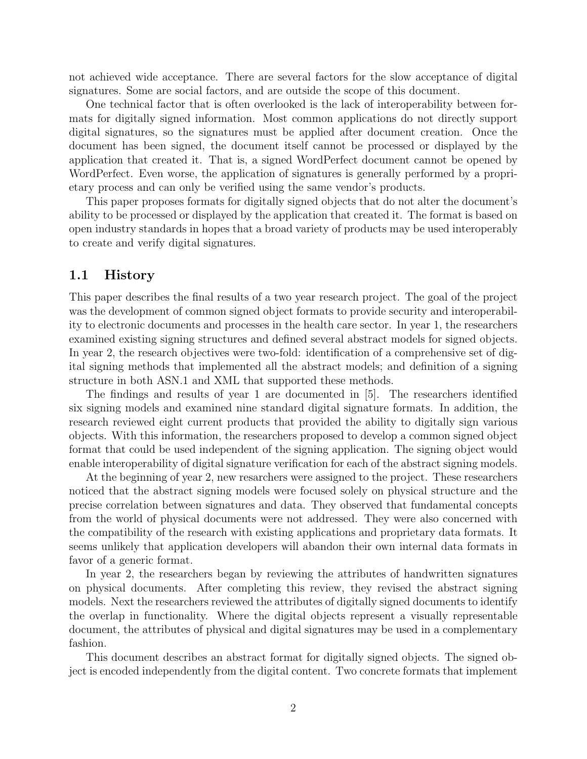not achieved wide acceptance. There are several factors for the slow acceptance of digital signatures. Some are social factors, and are outside the scope of this document.

One technical factor that is often overlooked is the lack of interoperability between formats for digitally signed information. Most common applications do not directly support digital signatures, so the signatures must be applied after document creation. Once the document has been signed, the document itself cannot be processed or displayed by the application that created it. That is, a signed WordPerfect document cannot be opened by WordPerfect. Even worse, the application of signatures is generally performed by a proprietary process and can only be verified using the same vendor's products.

This paper proposes formats for digitally signed objects that do not alter the document's ability to be processed or displayed by the application that created it. The format is based on open industry standards in hopes that a broad variety of products may be used interoperably to create and verify digital signatures.

#### 1.1 History

This paper describes the final results of a two year research project. The goal of the project was the development of common signed object formats to provide security and interoperability to electronic documents and processes in the health care sector. In year 1, the researchers examined existing signing structures and defined several abstract models for signed objects. In year 2, the research objectives were two-fold: identification of a comprehensive set of digital signing methods that implemented all the abstract models; and definition of a signing structure in both ASN.1 and XML that supported these methods.

The findings and results of year 1 are documented in [5]. The researchers identified six signing models and examined nine standard digital signature formats. In addition, the research reviewed eight current products that provided the ability to digitally sign various objects. With this information, the researchers proposed to develop a common signed object format that could be used independent of the signing application. The signing object would enable interoperability of digital signature verification for each of the abstract signing models.

At the beginning of year 2, new resarchers were assigned to the project. These researchers noticed that the abstract signing models were focused solely on physical structure and the precise correlation between signatures and data. They observed that fundamental concepts from the world of physical documents were not addressed. They were also concerned with the compatibility of the research with existing applications and proprietary data formats. It seems unlikely that application developers will abandon their own internal data formats in favor of a generic format.

In year 2, the researchers began by reviewing the attributes of handwritten signatures on physical documents. After completing this review, they revised the abstract signing models. Next the researchers reviewed the attributes of digitally signed documents to identify the overlap in functionality. Where the digital objects represent a visually representable document, the attributes of physical and digital signatures may be used in a complementary fashion.

This document describes an abstract format for digitally signed objects. The signed object is encoded independently from the digital content. Two concrete formats that implement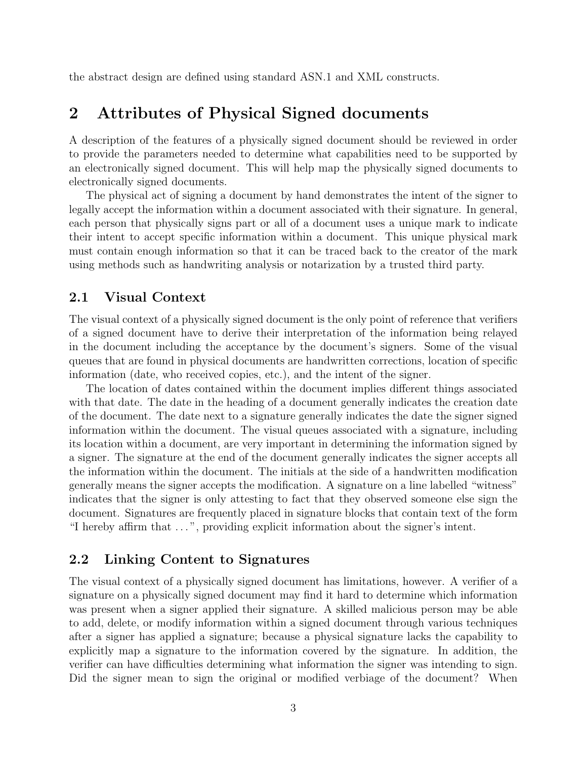the abstract design are defined using standard ASN.1 and XML constructs.

# 2 Attributes of Physical Signed documents

A description of the features of a physically signed document should be reviewed in order to provide the parameters needed to determine what capabilities need to be supported by an electronically signed document. This will help map the physically signed documents to electronically signed documents.

The physical act of signing a document by hand demonstrates the intent of the signer to legally accept the information within a document associated with their signature. In general, each person that physically signs part or all of a document uses a unique mark to indicate their intent to accept specific information within a document. This unique physical mark must contain enough information so that it can be traced back to the creator of the mark using methods such as handwriting analysis or notarization by a trusted third party.

#### 2.1 Visual Context

The visual context of a physically signed document is the only point of reference that verifiers of a signed document have to derive their interpretation of the information being relayed in the document including the acceptance by the document's signers. Some of the visual queues that are found in physical documents are handwritten corrections, location of specific information (date, who received copies, etc.), and the intent of the signer.

The location of dates contained within the document implies different things associated with that date. The date in the heading of a document generally indicates the creation date of the document. The date next to a signature generally indicates the date the signer signed information within the document. The visual queues associated with a signature, including its location within a document, are very important in determining the information signed by a signer. The signature at the end of the document generally indicates the signer accepts all the information within the document. The initials at the side of a handwritten modification generally means the signer accepts the modification. A signature on a line labelled "witness" indicates that the signer is only attesting to fact that they observed someone else sign the document. Signatures are frequently placed in signature blocks that contain text of the form "I hereby affirm that . . . ", providing explicit information about the signer's intent.

### 2.2 Linking Content to Signatures

The visual context of a physically signed document has limitations, however. A verifier of a signature on a physically signed document may find it hard to determine which information was present when a signer applied their signature. A skilled malicious person may be able to add, delete, or modify information within a signed document through various techniques after a signer has applied a signature; because a physical signature lacks the capability to explicitly map a signature to the information covered by the signature. In addition, the verifier can have difficulties determining what information the signer was intending to sign. Did the signer mean to sign the original or modified verbiage of the document? When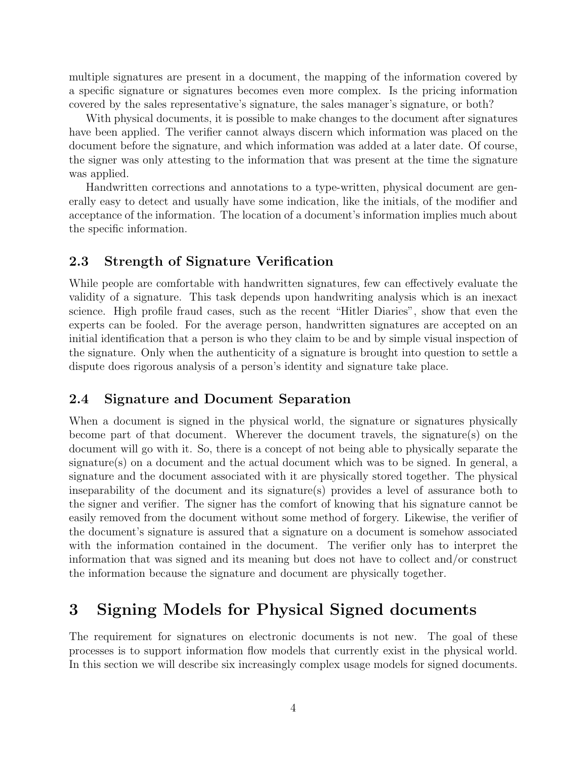multiple signatures are present in a document, the mapping of the information covered by a specific signature or signatures becomes even more complex. Is the pricing information covered by the sales representative's signature, the sales manager's signature, or both?

With physical documents, it is possible to make changes to the document after signatures have been applied. The verifier cannot always discern which information was placed on the document before the signature, and which information was added at a later date. Of course, the signer was only attesting to the information that was present at the time the signature was applied.

Handwritten corrections and annotations to a type-written, physical document are generally easy to detect and usually have some indication, like the initials, of the modifier and acceptance of the information. The location of a document's information implies much about the specific information.

### 2.3 Strength of Signature Verification

While people are comfortable with handwritten signatures, few can effectively evaluate the validity of a signature. This task depends upon handwriting analysis which is an inexact science. High profile fraud cases, such as the recent "Hitler Diaries", show that even the experts can be fooled. For the average person, handwritten signatures are accepted on an initial identification that a person is who they claim to be and by simple visual inspection of the signature. Only when the authenticity of a signature is brought into question to settle a dispute does rigorous analysis of a person's identity and signature take place.

#### 2.4 Signature and Document Separation

When a document is signed in the physical world, the signature or signatures physically become part of that document. Wherever the document travels, the signature(s) on the document will go with it. So, there is a concept of not being able to physically separate the signature(s) on a document and the actual document which was to be signed. In general, a signature and the document associated with it are physically stored together. The physical inseparability of the document and its signature(s) provides a level of assurance both to the signer and verifier. The signer has the comfort of knowing that his signature cannot be easily removed from the document without some method of forgery. Likewise, the verifier of the document's signature is assured that a signature on a document is somehow associated with the information contained in the document. The verifier only has to interpret the information that was signed and its meaning but does not have to collect and/or construct the information because the signature and document are physically together.

# 3 Signing Models for Physical Signed documents

The requirement for signatures on electronic documents is not new. The goal of these processes is to support information flow models that currently exist in the physical world. In this section we will describe six increasingly complex usage models for signed documents.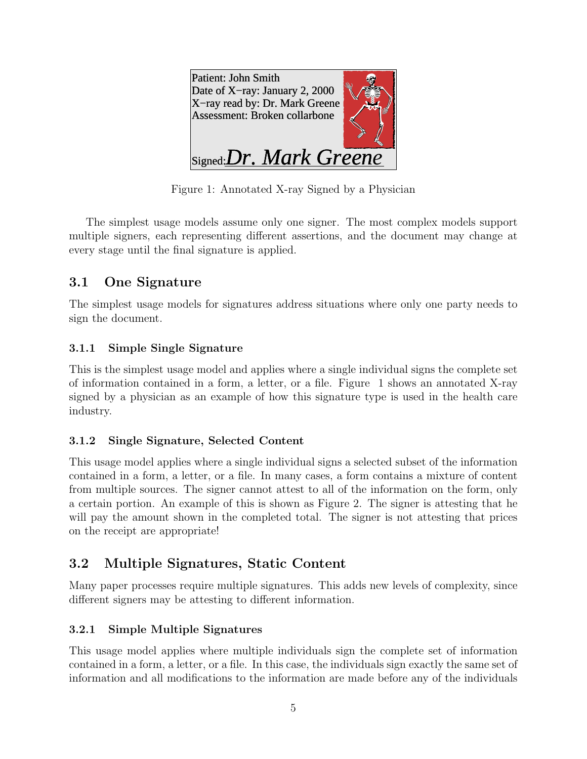| Patient: John Smith<br>Date of X-ray: January 2, 2000<br>X-ray read by: Dr. Mark Greene<br>Assessment: Broken collarbone |  |
|--------------------------------------------------------------------------------------------------------------------------|--|
| $\mathcal{L}_{\text{Signed}}$ : Dr. Mark Greene                                                                          |  |

Figure 1: Annotated X-ray Signed by a Physician

The simplest usage models assume only one signer. The most complex models support multiple signers, each representing different assertions, and the document may change at every stage until the final signature is applied.

# 3.1 One Signature

The simplest usage models for signatures address situations where only one party needs to sign the document.

### 3.1.1 Simple Single Signature

This is the simplest usage model and applies where a single individual signs the complete set of information contained in a form, a letter, or a file. Figure 1 shows an annotated X-ray signed by a physician as an example of how this signature type is used in the health care industry.

### 3.1.2 Single Signature, Selected Content

This usage model applies where a single individual signs a selected subset of the information contained in a form, a letter, or a file. In many cases, a form contains a mixture of content from multiple sources. The signer cannot attest to all of the information on the form, only a certain portion. An example of this is shown as Figure 2. The signer is attesting that he will pay the amount shown in the completed total. The signer is not attesting that prices on the receipt are appropriate!

# 3.2 Multiple Signatures, Static Content

Many paper processes require multiple signatures. This adds new levels of complexity, since different signers may be attesting to different information.

### 3.2.1 Simple Multiple Signatures

This usage model applies where multiple individuals sign the complete set of information contained in a form, a letter, or a file. In this case, the individuals sign exactly the same set of information and all modifications to the information are made before any of the individuals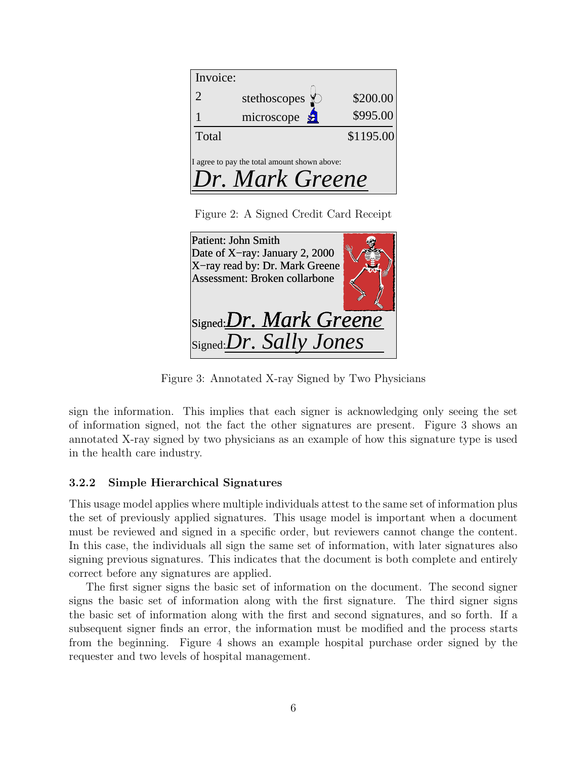| Invoice:                                                        |                                    |           |
|-----------------------------------------------------------------|------------------------------------|-----------|
| $\mathcal{D}_{\cdot}$                                           | stethoscopes $\lozenge$            | \$200.00  |
|                                                                 | microscope $\frac{\mathcal{L}}{2}$ | \$995.00  |
| Total                                                           |                                    | \$1195.00 |
| I agree to pay the total amount shown above:<br>Dr. Mark Greene |                                    |           |

Figure 2: A Signed Credit Card Receipt

| Patient: John Smith<br>Date of X-ray: January 2, 2000<br>X-ray read by: Dr. Mark Greene<br>Assessment: Broken collarbone |  |
|--------------------------------------------------------------------------------------------------------------------------|--|
| Signed: Dr. Mark Greene<br>Signed:Dr. Sally Jones                                                                        |  |

Figure 3: Annotated X-ray Signed by Two Physicians

sign the information. This implies that each signer is acknowledging only seeing the set of information signed, not the fact the other signatures are present. Figure 3 shows an annotated X-ray signed by two physicians as an example of how this signature type is used in the health care industry.

### 3.2.2 Simple Hierarchical Signatures

This usage model applies where multiple individuals attest to the same set of information plus the set of previously applied signatures. This usage model is important when a document must be reviewed and signed in a specific order, but reviewers cannot change the content. In this case, the individuals all sign the same set of information, with later signatures also signing previous signatures. This indicates that the document is both complete and entirely correct before any signatures are applied.

The first signer signs the basic set of information on the document. The second signer signs the basic set of information along with the first signature. The third signer signs the basic set of information along with the first and second signatures, and so forth. If a subsequent signer finds an error, the information must be modified and the process starts from the beginning. Figure 4 shows an example hospital purchase order signed by the requester and two levels of hospital management.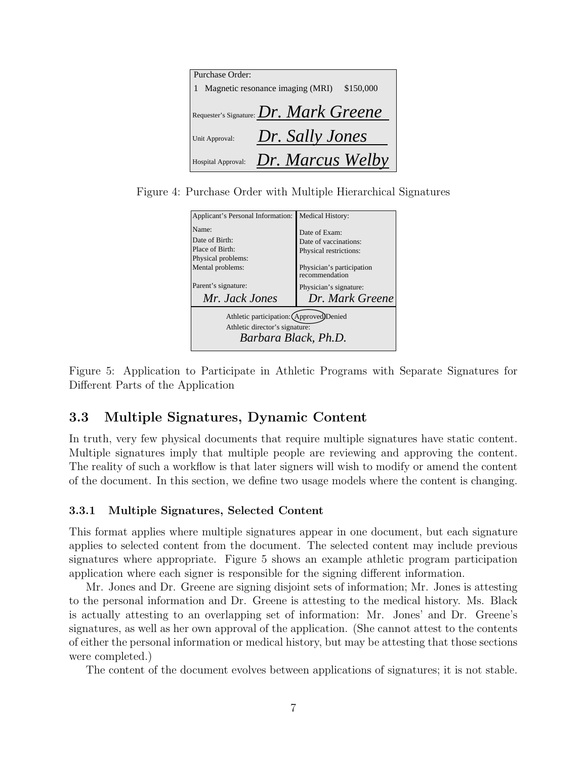| Purchase Order:                                        |                                  |           |
|--------------------------------------------------------|----------------------------------|-----------|
|                                                        | Magnetic resonance imaging (MRI) | \$150,000 |
| $R_{\text{Requester's Signature}}$ : $Dr. Mark Greene$ |                                  |           |
| Unit Approval:                                         | Dr. Sally Jones                  |           |
| Hospital Approval:                                     | Dr. Marcus Welby                 |           |

Figure 4: Purchase Order with Multiple Hierarchical Signatures

| Applicant's Personal Information:                                                                  | <b>Medical History:</b>   |  |
|----------------------------------------------------------------------------------------------------|---------------------------|--|
| Name:                                                                                              | Date of Exam:             |  |
| Date of Birth:                                                                                     | Date of vaccinations:     |  |
| Place of Birth:                                                                                    | Physical restrictions:    |  |
| Physical problems:                                                                                 | Physician's participation |  |
| Mental problems:                                                                                   | recommendation            |  |
| Parent's signature:                                                                                | Physician's signature:    |  |
| Mr. Jack Jones                                                                                     | Dr. Mark Greene           |  |
| Athletic participation: (Approved)Denied<br>Athletic director's signature:<br>Barbara Black, Ph.D. |                           |  |

Figure 5: Application to Participate in Athletic Programs with Separate Signatures for Different Parts of the Application

### 3.3 Multiple Signatures, Dynamic Content

In truth, very few physical documents that require multiple signatures have static content. Multiple signatures imply that multiple people are reviewing and approving the content. The reality of such a workflow is that later signers will wish to modify or amend the content of the document. In this section, we define two usage models where the content is changing.

#### 3.3.1 Multiple Signatures, Selected Content

This format applies where multiple signatures appear in one document, but each signature applies to selected content from the document. The selected content may include previous signatures where appropriate. Figure 5 shows an example athletic program participation application where each signer is responsible for the signing different information.

Mr. Jones and Dr. Greene are signing disjoint sets of information; Mr. Jones is attesting to the personal information and Dr. Greene is attesting to the medical history. Ms. Black is actually attesting to an overlapping set of information: Mr. Jones' and Dr. Greene's signatures, as well as her own approval of the application. (She cannot attest to the contents of either the personal information or medical history, but may be attesting that those sections were completed.)

The content of the document evolves between applications of signatures; it is not stable.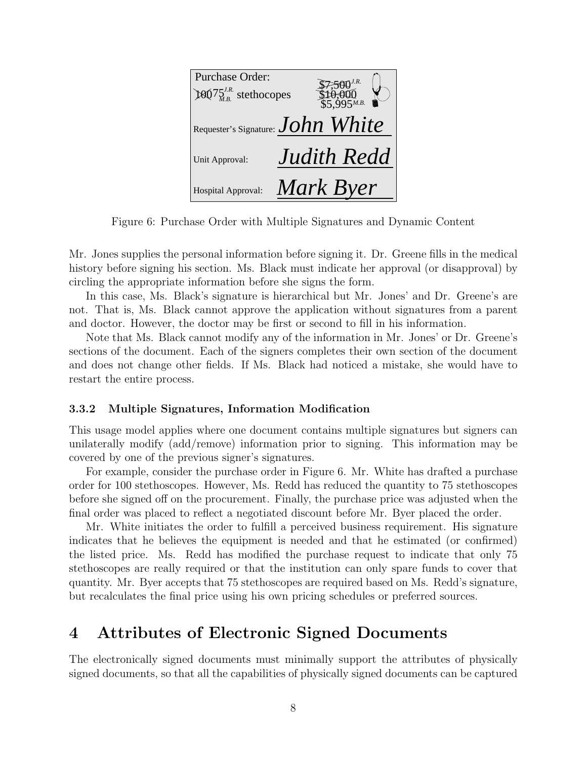| Purchase Order:                        |                    |
|----------------------------------------|--------------------|
| $100^{75}$ <sup>J.R.</sup> stethocopes | $$5\,995$ M.B.     |
|                                        |                    |
| Requester's Signature: $John$ White    |                    |
| Unit Approval:                         | <b>Judith Redd</b> |
| Hospital Approval:                     | Mark Byer          |

Figure 6: Purchase Order with Multiple Signatures and Dynamic Content

Mr. Jones supplies the personal information before signing it. Dr. Greene fills in the medical history before signing his section. Ms. Black must indicate her approval (or disapproval) by circling the appropriate information before she signs the form.

In this case, Ms. Black's signature is hierarchical but Mr. Jones' and Dr. Greene's are not. That is, Ms. Black cannot approve the application without signatures from a parent and doctor. However, the doctor may be first or second to fill in his information.

Note that Ms. Black cannot modify any of the information in Mr. Jones' or Dr. Greene's sections of the document. Each of the signers completes their own section of the document and does not change other fields. If Ms. Black had noticed a mistake, she would have to restart the entire process.

#### 3.3.2 Multiple Signatures, Information Modification

This usage model applies where one document contains multiple signatures but signers can unilaterally modify (add/remove) information prior to signing. This information may be covered by one of the previous signer's signatures.

For example, consider the purchase order in Figure 6. Mr. White has drafted a purchase order for 100 stethoscopes. However, Ms. Redd has reduced the quantity to 75 stethoscopes before she signed off on the procurement. Finally, the purchase price was adjusted when the final order was placed to reflect a negotiated discount before Mr. Byer placed the order.

Mr. White initiates the order to fulfill a perceived business requirement. His signature indicates that he believes the equipment is needed and that he estimated (or confirmed) the listed price. Ms. Redd has modified the purchase request to indicate that only 75 stethoscopes are really required or that the institution can only spare funds to cover that quantity. Mr. Byer accepts that 75 stethoscopes are required based on Ms. Redd's signature, but recalculates the final price using his own pricing schedules or preferred sources.

# 4 Attributes of Electronic Signed Documents

The electronically signed documents must minimally support the attributes of physically signed documents, so that all the capabilities of physically signed documents can be captured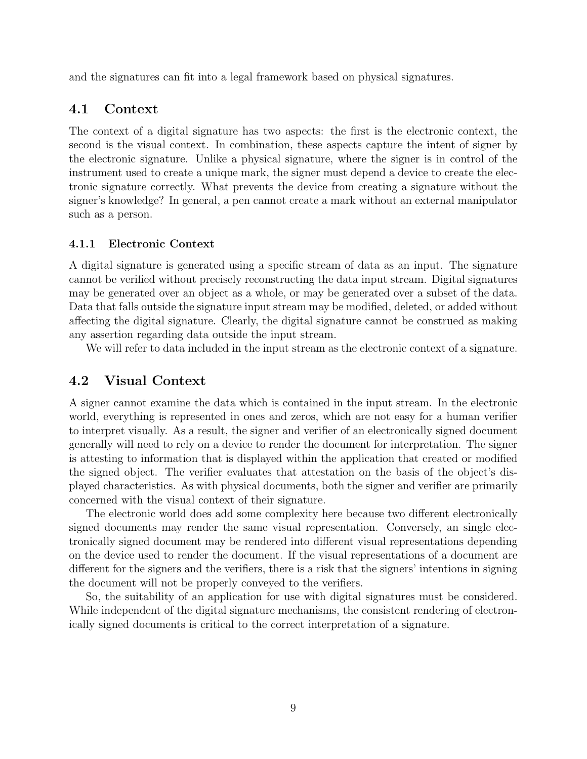and the signatures can fit into a legal framework based on physical signatures.

### 4.1 Context

The context of a digital signature has two aspects: the first is the electronic context, the second is the visual context. In combination, these aspects capture the intent of signer by the electronic signature. Unlike a physical signature, where the signer is in control of the instrument used to create a unique mark, the signer must depend a device to create the electronic signature correctly. What prevents the device from creating a signature without the signer's knowledge? In general, a pen cannot create a mark without an external manipulator such as a person.

#### 4.1.1 Electronic Context

A digital signature is generated using a specific stream of data as an input. The signature cannot be verified without precisely reconstructing the data input stream. Digital signatures may be generated over an object as a whole, or may be generated over a subset of the data. Data that falls outside the signature input stream may be modified, deleted, or added without affecting the digital signature. Clearly, the digital signature cannot be construed as making any assertion regarding data outside the input stream.

We will refer to data included in the input stream as the electronic context of a signature.

### 4.2 Visual Context

A signer cannot examine the data which is contained in the input stream. In the electronic world, everything is represented in ones and zeros, which are not easy for a human verifier to interpret visually. As a result, the signer and verifier of an electronically signed document generally will need to rely on a device to render the document for interpretation. The signer is attesting to information that is displayed within the application that created or modified the signed object. The verifier evaluates that attestation on the basis of the object's displayed characteristics. As with physical documents, both the signer and verifier are primarily concerned with the visual context of their signature.

The electronic world does add some complexity here because two different electronically signed documents may render the same visual representation. Conversely, an single electronically signed document may be rendered into different visual representations depending on the device used to render the document. If the visual representations of a document are different for the signers and the verifiers, there is a risk that the signers' intentions in signing the document will not be properly conveyed to the verifiers.

So, the suitability of an application for use with digital signatures must be considered. While independent of the digital signature mechanisms, the consistent rendering of electronically signed documents is critical to the correct interpretation of a signature.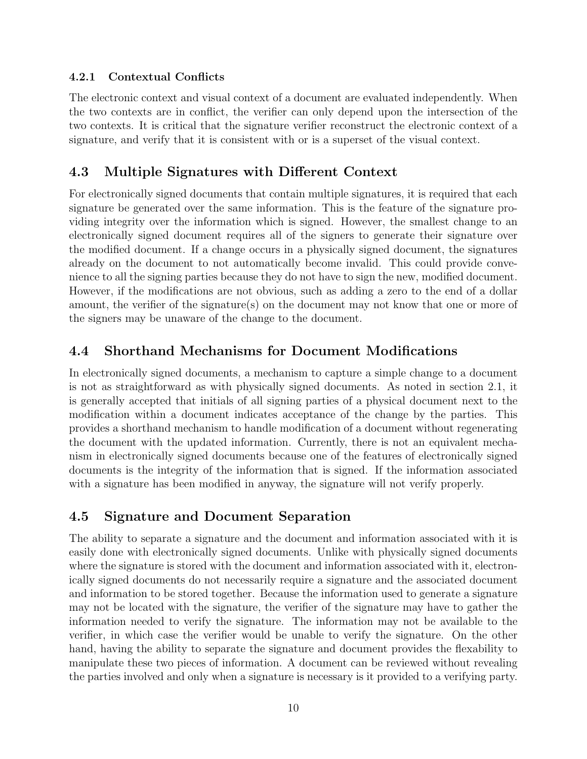### 4.2.1 Contextual Conflicts

The electronic context and visual context of a document are evaluated independently. When the two contexts are in conflict, the verifier can only depend upon the intersection of the two contexts. It is critical that the signature verifier reconstruct the electronic context of a signature, and verify that it is consistent with or is a superset of the visual context.

### 4.3 Multiple Signatures with Different Context

For electronically signed documents that contain multiple signatures, it is required that each signature be generated over the same information. This is the feature of the signature providing integrity over the information which is signed. However, the smallest change to an electronically signed document requires all of the signers to generate their signature over the modified document. If a change occurs in a physically signed document, the signatures already on the document to not automatically become invalid. This could provide convenience to all the signing parties because they do not have to sign the new, modified document. However, if the modifications are not obvious, such as adding a zero to the end of a dollar amount, the verifier of the signature(s) on the document may not know that one or more of the signers may be unaware of the change to the document.

### 4.4 Shorthand Mechanisms for Document Modifications

In electronically signed documents, a mechanism to capture a simple change to a document is not as straightforward as with physically signed documents. As noted in section 2.1, it is generally accepted that initials of all signing parties of a physical document next to the modification within a document indicates acceptance of the change by the parties. This provides a shorthand mechanism to handle modification of a document without regenerating the document with the updated information. Currently, there is not an equivalent mechanism in electronically signed documents because one of the features of electronically signed documents is the integrity of the information that is signed. If the information associated with a signature has been modified in anyway, the signature will not verify properly.

### 4.5 Signature and Document Separation

The ability to separate a signature and the document and information associated with it is easily done with electronically signed documents. Unlike with physically signed documents where the signature is stored with the document and information associated with it, electronically signed documents do not necessarily require a signature and the associated document and information to be stored together. Because the information used to generate a signature may not be located with the signature, the verifier of the signature may have to gather the information needed to verify the signature. The information may not be available to the verifier, in which case the verifier would be unable to verify the signature. On the other hand, having the ability to separate the signature and document provides the flexability to manipulate these two pieces of information. A document can be reviewed without revealing the parties involved and only when a signature is necessary is it provided to a verifying party.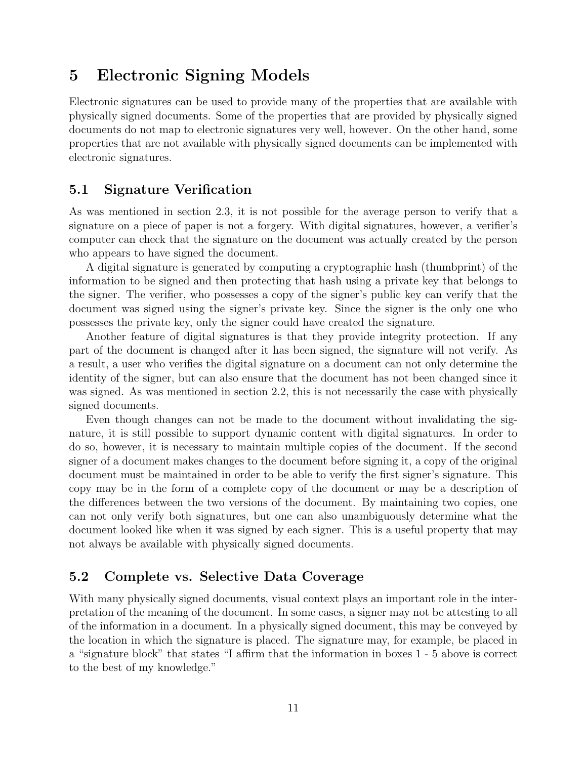# 5 Electronic Signing Models

Electronic signatures can be used to provide many of the properties that are available with physically signed documents. Some of the properties that are provided by physically signed documents do not map to electronic signatures very well, however. On the other hand, some properties that are not available with physically signed documents can be implemented with electronic signatures.

### 5.1 Signature Verification

As was mentioned in section 2.3, it is not possible for the average person to verify that a signature on a piece of paper is not a forgery. With digital signatures, however, a verifier's computer can check that the signature on the document was actually created by the person who appears to have signed the document.

A digital signature is generated by computing a cryptographic hash (thumbprint) of the information to be signed and then protecting that hash using a private key that belongs to the signer. The verifier, who possesses a copy of the signer's public key can verify that the document was signed using the signer's private key. Since the signer is the only one who possesses the private key, only the signer could have created the signature.

Another feature of digital signatures is that they provide integrity protection. If any part of the document is changed after it has been signed, the signature will not verify. As a result, a user who verifies the digital signature on a document can not only determine the identity of the signer, but can also ensure that the document has not been changed since it was signed. As was mentioned in section 2.2, this is not necessarily the case with physically signed documents.

Even though changes can not be made to the document without invalidating the signature, it is still possible to support dynamic content with digital signatures. In order to do so, however, it is necessary to maintain multiple copies of the document. If the second signer of a document makes changes to the document before signing it, a copy of the original document must be maintained in order to be able to verify the first signer's signature. This copy may be in the form of a complete copy of the document or may be a description of the differences between the two versions of the document. By maintaining two copies, one can not only verify both signatures, but one can also unambiguously determine what the document looked like when it was signed by each signer. This is a useful property that may not always be available with physically signed documents.

### 5.2 Complete vs. Selective Data Coverage

With many physically signed documents, visual context plays an important role in the interpretation of the meaning of the document. In some cases, a signer may not be attesting to all of the information in a document. In a physically signed document, this may be conveyed by the location in which the signature is placed. The signature may, for example, be placed in a "signature block" that states "I affirm that the information in boxes 1 - 5 above is correct to the best of my knowledge."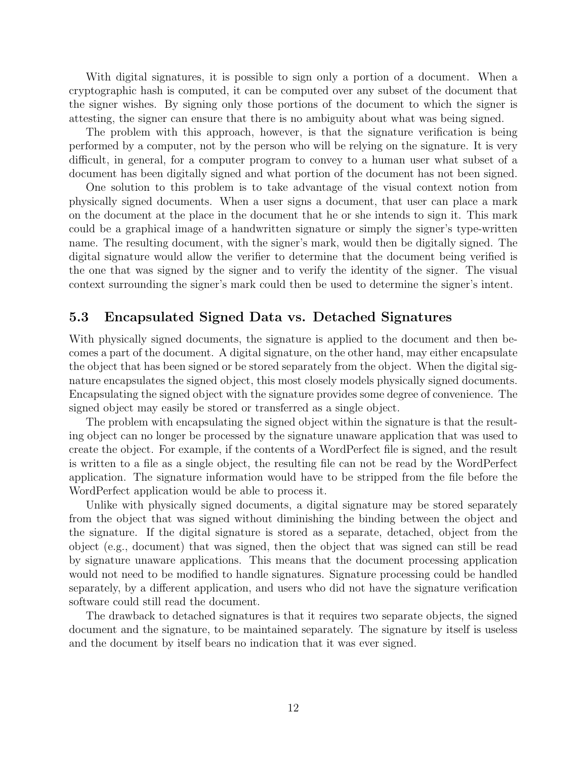With digital signatures, it is possible to sign only a portion of a document. When a cryptographic hash is computed, it can be computed over any subset of the document that the signer wishes. By signing only those portions of the document to which the signer is attesting, the signer can ensure that there is no ambiguity about what was being signed.

The problem with this approach, however, is that the signature verification is being performed by a computer, not by the person who will be relying on the signature. It is very difficult, in general, for a computer program to convey to a human user what subset of a document has been digitally signed and what portion of the document has not been signed.

One solution to this problem is to take advantage of the visual context notion from physically signed documents. When a user signs a document, that user can place a mark on the document at the place in the document that he or she intends to sign it. This mark could be a graphical image of a handwritten signature or simply the signer's type-written name. The resulting document, with the signer's mark, would then be digitally signed. The digital signature would allow the verifier to determine that the document being verified is the one that was signed by the signer and to verify the identity of the signer. The visual context surrounding the signer's mark could then be used to determine the signer's intent.

#### 5.3 Encapsulated Signed Data vs. Detached Signatures

With physically signed documents, the signature is applied to the document and then becomes a part of the document. A digital signature, on the other hand, may either encapsulate the object that has been signed or be stored separately from the object. When the digital signature encapsulates the signed object, this most closely models physically signed documents. Encapsulating the signed object with the signature provides some degree of convenience. The signed object may easily be stored or transferred as a single object.

The problem with encapsulating the signed object within the signature is that the resulting object can no longer be processed by the signature unaware application that was used to create the object. For example, if the contents of a WordPerfect file is signed, and the result is written to a file as a single object, the resulting file can not be read by the WordPerfect application. The signature information would have to be stripped from the file before the WordPerfect application would be able to process it.

Unlike with physically signed documents, a digital signature may be stored separately from the object that was signed without diminishing the binding between the object and the signature. If the digital signature is stored as a separate, detached, object from the object (e.g., document) that was signed, then the object that was signed can still be read by signature unaware applications. This means that the document processing application would not need to be modified to handle signatures. Signature processing could be handled separately, by a different application, and users who did not have the signature verification software could still read the document.

The drawback to detached signatures is that it requires two separate objects, the signed document and the signature, to be maintained separately. The signature by itself is useless and the document by itself bears no indication that it was ever signed.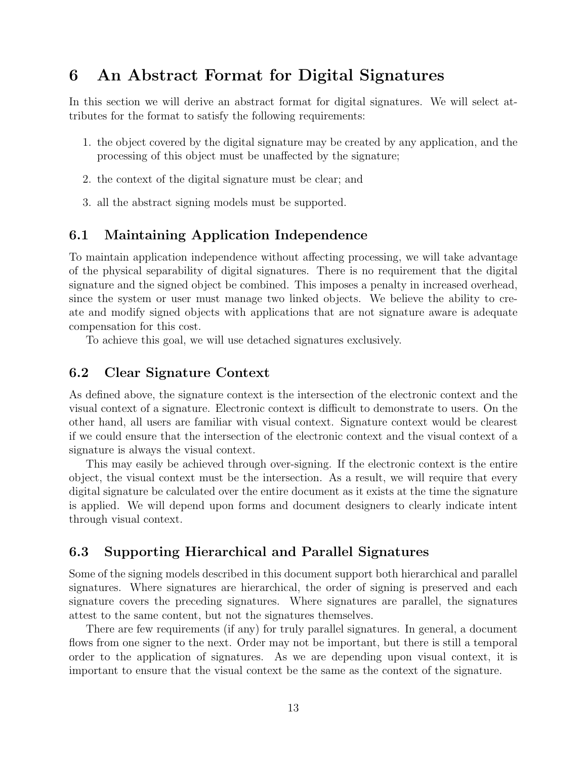# 6 An Abstract Format for Digital Signatures

In this section we will derive an abstract format for digital signatures. We will select attributes for the format to satisfy the following requirements:

- 1. the object covered by the digital signature may be created by any application, and the processing of this object must be unaffected by the signature;
- 2. the context of the digital signature must be clear; and
- 3. all the abstract signing models must be supported.

### 6.1 Maintaining Application Independence

To maintain application independence without affecting processing, we will take advantage of the physical separability of digital signatures. There is no requirement that the digital signature and the signed object be combined. This imposes a penalty in increased overhead, since the system or user must manage two linked objects. We believe the ability to create and modify signed objects with applications that are not signature aware is adequate compensation for this cost.

To achieve this goal, we will use detached signatures exclusively.

### 6.2 Clear Signature Context

As defined above, the signature context is the intersection of the electronic context and the visual context of a signature. Electronic context is difficult to demonstrate to users. On the other hand, all users are familiar with visual context. Signature context would be clearest if we could ensure that the intersection of the electronic context and the visual context of a signature is always the visual context.

This may easily be achieved through over-signing. If the electronic context is the entire object, the visual context must be the intersection. As a result, we will require that every digital signature be calculated over the entire document as it exists at the time the signature is applied. We will depend upon forms and document designers to clearly indicate intent through visual context.

### 6.3 Supporting Hierarchical and Parallel Signatures

Some of the signing models described in this document support both hierarchical and parallel signatures. Where signatures are hierarchical, the order of signing is preserved and each signature covers the preceding signatures. Where signatures are parallel, the signatures attest to the same content, but not the signatures themselves.

There are few requirements (if any) for truly parallel signatures. In general, a document flows from one signer to the next. Order may not be important, but there is still a temporal order to the application of signatures. As we are depending upon visual context, it is important to ensure that the visual context be the same as the context of the signature.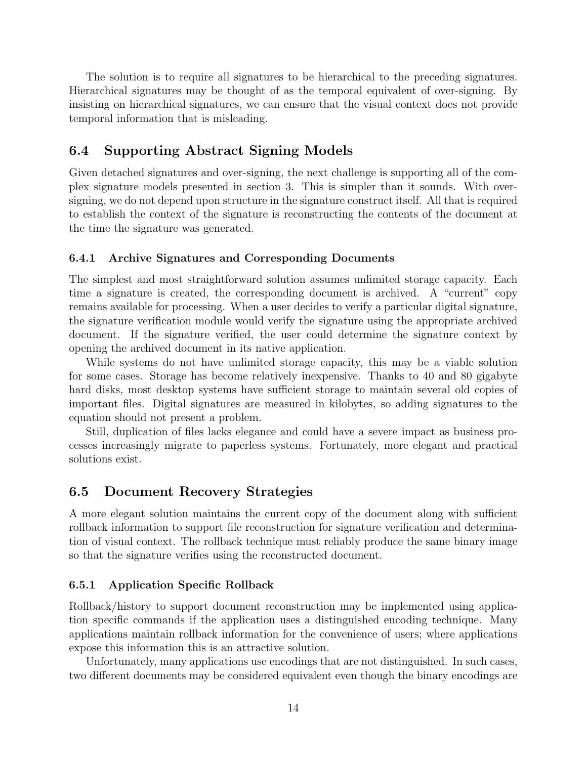The solution is to require all signatures to be hierarchical to the preceding signatures. Hierarchical signatures may be thought of as the temporal equivalent of over-signing. By insisting on hierarchical signatures, we can ensure that the visual context does not provide temporal information that is misleading.

### 6.4 Supporting Abstract Signing Models

Given detached signatures and over-signing, the next challenge is supporting all of the complex signature models presented in section 3. This is simpler than it sounds. With oversigning, we do not depend upon structure in the signature construct itself. All that is required to establish the context of the signature is reconstructing the contents of the document at the time the signature was generated.

#### 6.4.1 Archive Signatures and Corresponding Documents

The simplest and most straightforward solution assumes unlimited storage capacity. Each time a signature is created, the corresponding document is archived. A "current" copy remains available for processing. When a user decides to verify a particular digital signature, the signature verification module would verify the signature using the appropriate archived document. If the signature verified, the user could determine the signature context by opening the archived document in its native application.

While systems do not have unlimited storage capacity, this may be a viable solution for some cases. Storage has become relatively inexpensive. Thanks to 40 and 80 gigabyte hard disks, most desktop systems have sufficient storage to maintain several old copies of important files. Digital signatures are measured in kilobytes, so adding signatures to the equation should not present a problem.

Still, duplication of files lacks elegance and could have a severe impact as business processes increasingly migrate to paperless systems. Fortunately, more elegant and practical solutions exist.

### 6.5 Document Recovery Strategies

A more elegant solution maintains the current copy of the document along with sufficient rollback information to support file reconstruction for signature verification and determination of visual context. The rollback technique must reliably produce the same binary image so that the signature verifies using the reconstructed document.

#### 6.5.1 Application Specific Rollback

Rollback/history to support document reconstruction may be implemented using application specific commands if the application uses a distinguished encoding technique. Many applications maintain rollback information for the convenience of users; where applications expose this information this is an attractive solution.

Unfortunately, many applications use encodings that are not distinguished. In such cases, two different documents may be considered equivalent even though the binary encodings are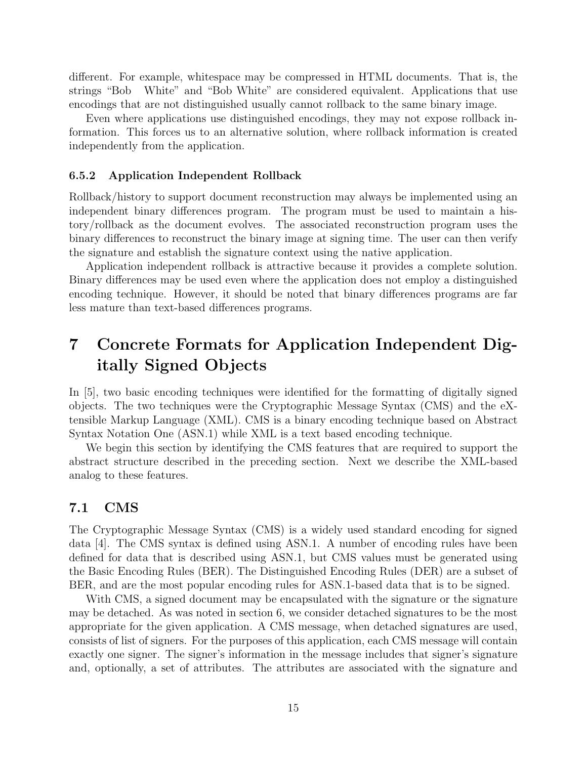different. For example, whitespace may be compressed in HTML documents. That is, the strings "Bob White" and "Bob White" are considered equivalent. Applications that use encodings that are not distinguished usually cannot rollback to the same binary image.

Even where applications use distinguished encodings, they may not expose rollback information. This forces us to an alternative solution, where rollback information is created independently from the application.

#### 6.5.2 Application Independent Rollback

Rollback/history to support document reconstruction may always be implemented using an independent binary differences program. The program must be used to maintain a history/rollback as the document evolves. The associated reconstruction program uses the binary differences to reconstruct the binary image at signing time. The user can then verify the signature and establish the signature context using the native application.

Application independent rollback is attractive because it provides a complete solution. Binary differences may be used even where the application does not employ a distinguished encoding technique. However, it should be noted that binary differences programs are far less mature than text-based differences programs.

# 7 Concrete Formats for Application Independent Digitally Signed Objects

In [5], two basic encoding techniques were identified for the formatting of digitally signed objects. The two techniques were the Cryptographic Message Syntax (CMS) and the eXtensible Markup Language (XML). CMS is a binary encoding technique based on Abstract Syntax Notation One (ASN.1) while XML is a text based encoding technique.

We begin this section by identifying the CMS features that are required to support the abstract structure described in the preceding section. Next we describe the XML-based analog to these features.

#### 7.1 CMS

The Cryptographic Message Syntax (CMS) is a widely used standard encoding for signed data [4]. The CMS syntax is defined using ASN.1. A number of encoding rules have been defined for data that is described using ASN.1, but CMS values must be generated using the Basic Encoding Rules (BER). The Distinguished Encoding Rules (DER) are a subset of BER, and are the most popular encoding rules for ASN.1-based data that is to be signed.

With CMS, a signed document may be encapsulated with the signature or the signature may be detached. As was noted in section 6, we consider detached signatures to be the most appropriate for the given application. A CMS message, when detached signatures are used, consists of list of signers. For the purposes of this application, each CMS message will contain exactly one signer. The signer's information in the message includes that signer's signature and, optionally, a set of attributes. The attributes are associated with the signature and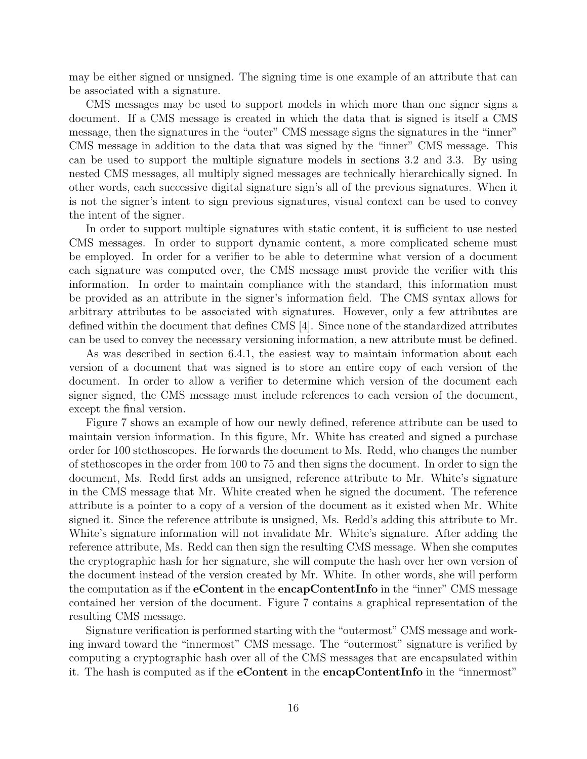may be either signed or unsigned. The signing time is one example of an attribute that can be associated with a signature.

CMS messages may be used to support models in which more than one signer signs a document. If a CMS message is created in which the data that is signed is itself a CMS message, then the signatures in the "outer" CMS message signs the signatures in the "inner" CMS message in addition to the data that was signed by the "inner" CMS message. This can be used to support the multiple signature models in sections 3.2 and 3.3. By using nested CMS messages, all multiply signed messages are technically hierarchically signed. In other words, each successive digital signature sign's all of the previous signatures. When it is not the signer's intent to sign previous signatures, visual context can be used to convey the intent of the signer.

In order to support multiple signatures with static content, it is sufficient to use nested CMS messages. In order to support dynamic content, a more complicated scheme must be employed. In order for a verifier to be able to determine what version of a document each signature was computed over, the CMS message must provide the verifier with this information. In order to maintain compliance with the standard, this information must be provided as an attribute in the signer's information field. The CMS syntax allows for arbitrary attributes to be associated with signatures. However, only a few attributes are defined within the document that defines CMS [4]. Since none of the standardized attributes can be used to convey the necessary versioning information, a new attribute must be defined.

As was described in section 6.4.1, the easiest way to maintain information about each version of a document that was signed is to store an entire copy of each version of the document. In order to allow a verifier to determine which version of the document each signer signed, the CMS message must include references to each version of the document, except the final version.

Figure 7 shows an example of how our newly defined, reference attribute can be used to maintain version information. In this figure, Mr. White has created and signed a purchase order for 100 stethoscopes. He forwards the document to Ms. Redd, who changes the number of stethoscopes in the order from 100 to 75 and then signs the document. In order to sign the document, Ms. Redd first adds an unsigned, reference attribute to Mr. White's signature in the CMS message that Mr. White created when he signed the document. The reference attribute is a pointer to a copy of a version of the document as it existed when Mr. White signed it. Since the reference attribute is unsigned, Ms. Redd's adding this attribute to Mr. White's signature information will not invalidate Mr. White's signature. After adding the reference attribute, Ms. Redd can then sign the resulting CMS message. When she computes the cryptographic hash for her signature, she will compute the hash over her own version of the document instead of the version created by Mr. White. In other words, she will perform the computation as if the eContent in the encapContentInfo in the "inner" CMS message contained her version of the document. Figure 7 contains a graphical representation of the resulting CMS message.

Signature verification is performed starting with the "outermost" CMS message and working inward toward the "innermost" CMS message. The "outermost" signature is verified by computing a cryptographic hash over all of the CMS messages that are encapsulated within it. The hash is computed as if the eContent in the encapContentInfo in the "innermost"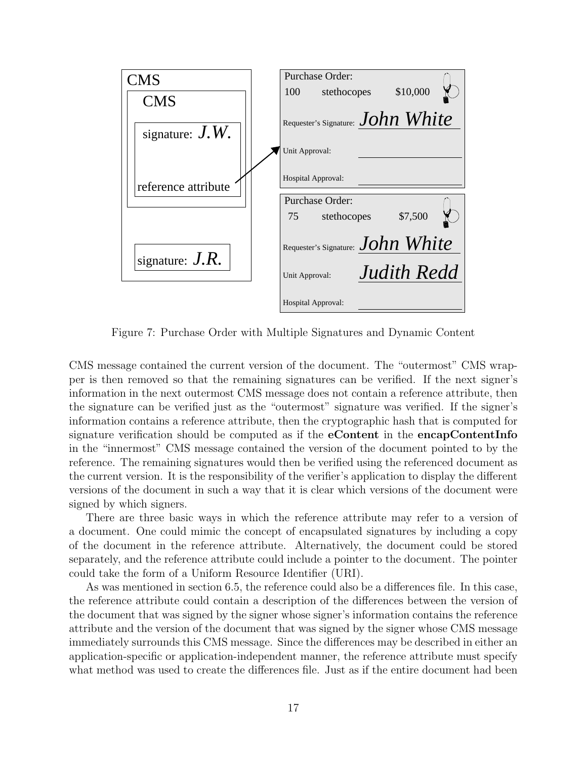| MS                  | Purchase Order:                      |
|---------------------|--------------------------------------|
| <b>CMS</b>          | \$10,000<br>stethocopes<br>100       |
| signature: $J.W.$   | Requester's Signature: $John$ White  |
|                     | Unit Approval:                       |
| reference attribute | Hospital Approval:                   |
|                     | Purchase Order:                      |
|                     | \$7,500<br>75<br>stethocopes         |
| signature: $J.R.$   | Requester's Signature: $John White$  |
|                     | <b>Judith Redd</b><br>Unit Approval: |
|                     | Hospital Approval:                   |

Figure 7: Purchase Order with Multiple Signatures and Dynamic Content

CMS message contained the current version of the document. The "outermost" CMS wrapper is then removed so that the remaining signatures can be verified. If the next signer's information in the next outermost CMS message does not contain a reference attribute, then the signature can be verified just as the "outermost" signature was verified. If the signer's information contains a reference attribute, then the cryptographic hash that is computed for signature verification should be computed as if the **eContent** in the **encapContentInfo** in the "innermost" CMS message contained the version of the document pointed to by the reference. The remaining signatures would then be verified using the referenced document as the current version. It is the responsibility of the verifier's application to display the different versions of the document in such a way that it is clear which versions of the document were signed by which signers.

There are three basic ways in which the reference attribute may refer to a version of a document. One could mimic the concept of encapsulated signatures by including a copy of the document in the reference attribute. Alternatively, the document could be stored separately, and the reference attribute could include a pointer to the document. The pointer could take the form of a Uniform Resource Identifier (URI).

As was mentioned in section 6.5, the reference could also be a differences file. In this case, the reference attribute could contain a description of the differences between the version of the document that was signed by the signer whose signer's information contains the reference attribute and the version of the document that was signed by the signer whose CMS message immediately surrounds this CMS message. Since the differences may be described in either an application-specific or application-independent manner, the reference attribute must specify what method was used to create the differences file. Just as if the entire document had been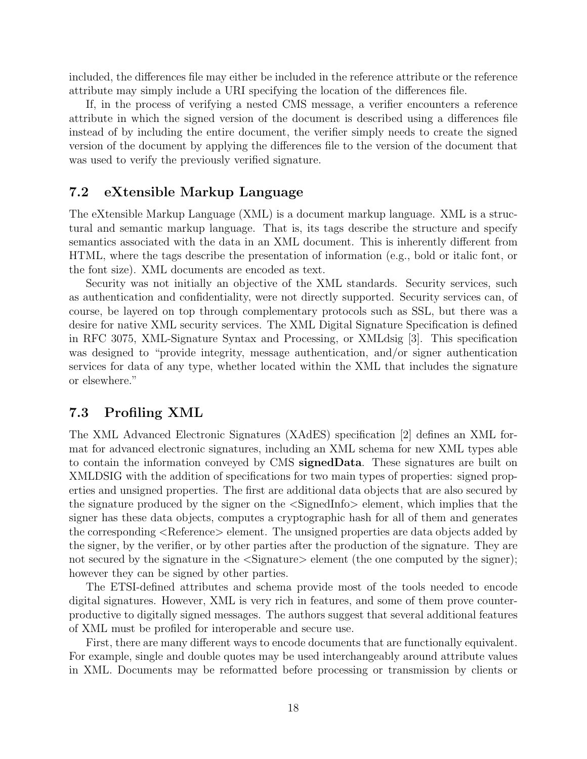included, the differences file may either be included in the reference attribute or the reference attribute may simply include a URI specifying the location of the differences file.

If, in the process of verifying a nested CMS message, a verifier encounters a reference attribute in which the signed version of the document is described using a differences file instead of by including the entire document, the verifier simply needs to create the signed version of the document by applying the differences file to the version of the document that was used to verify the previously verified signature.

#### 7.2 eXtensible Markup Language

The eXtensible Markup Language (XML) is a document markup language. XML is a structural and semantic markup language. That is, its tags describe the structure and specify semantics associated with the data in an XML document. This is inherently different from HTML, where the tags describe the presentation of information (e.g., bold or italic font, or the font size). XML documents are encoded as text.

Security was not initially an objective of the XML standards. Security services, such as authentication and confidentiality, were not directly supported. Security services can, of course, be layered on top through complementary protocols such as SSL, but there was a desire for native XML security services. The XML Digital Signature Specification is defined in RFC 3075, XML-Signature Syntax and Processing, or XMLdsig [3]. This specification was designed to "provide integrity, message authentication, and/or signer authentication services for data of any type, whether located within the XML that includes the signature or elsewhere."

#### 7.3 Profiling XML

The XML Advanced Electronic Signatures (XAdES) specification [2] defines an XML format for advanced electronic signatures, including an XML schema for new XML types able to contain the information conveyed by CMS signedData. These signatures are built on XMLDSIG with the addition of specifications for two main types of properties: signed properties and unsigned properties. The first are additional data objects that are also secured by the signature produced by the signer on the <SignedInfo> element, which implies that the signer has these data objects, computes a cryptographic hash for all of them and generates the corresponding <Reference> element. The unsigned properties are data objects added by the signer, by the verifier, or by other parties after the production of the signature. They are not secured by the signature in the  $\langle$ Signature $\rangle$  element (the one computed by the signer); however they can be signed by other parties.

The ETSI-defined attributes and schema provide most of the tools needed to encode digital signatures. However, XML is very rich in features, and some of them prove counterproductive to digitally signed messages. The authors suggest that several additional features of XML must be profiled for interoperable and secure use.

First, there are many different ways to encode documents that are functionally equivalent. For example, single and double quotes may be used interchangeably around attribute values in XML. Documents may be reformatted before processing or transmission by clients or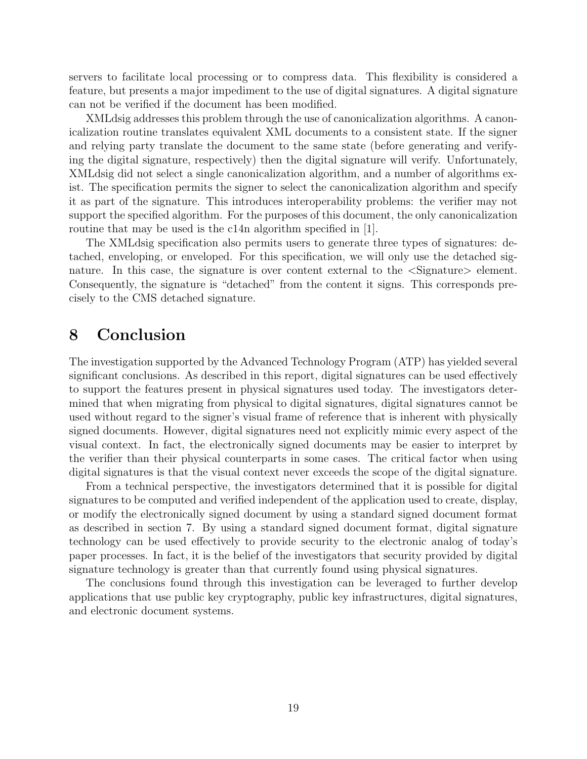servers to facilitate local processing or to compress data. This flexibility is considered a feature, but presents a major impediment to the use of digital signatures. A digital signature can not be verified if the document has been modified.

XMLdsig addresses this problem through the use of canonicalization algorithms. A canonicalization routine translates equivalent XML documents to a consistent state. If the signer and relying party translate the document to the same state (before generating and verifying the digital signature, respectively) then the digital signature will verify. Unfortunately, XMLdsig did not select a single canonicalization algorithm, and a number of algorithms exist. The specification permits the signer to select the canonicalization algorithm and specify it as part of the signature. This introduces interoperability problems: the verifier may not support the specified algorithm. For the purposes of this document, the only canonicalization routine that may be used is the c14n algorithm specified in [1].

The XMLdsig specification also permits users to generate three types of signatures: detached, enveloping, or enveloped. For this specification, we will only use the detached signature. In this case, the signature is over content external to the  $\leq$ Signature lehement. Consequently, the signature is "detached" from the content it signs. This corresponds precisely to the CMS detached signature.

# 8 Conclusion

The investigation supported by the Advanced Technology Program (ATP) has yielded several significant conclusions. As described in this report, digital signatures can be used effectively to support the features present in physical signatures used today. The investigators determined that when migrating from physical to digital signatures, digital signatures cannot be used without regard to the signer's visual frame of reference that is inherent with physically signed documents. However, digital signatures need not explicitly mimic every aspect of the visual context. In fact, the electronically signed documents may be easier to interpret by the verifier than their physical counterparts in some cases. The critical factor when using digital signatures is that the visual context never exceeds the scope of the digital signature.

From a technical perspective, the investigators determined that it is possible for digital signatures to be computed and verified independent of the application used to create, display, or modify the electronically signed document by using a standard signed document format as described in section 7. By using a standard signed document format, digital signature technology can be used effectively to provide security to the electronic analog of today's paper processes. In fact, it is the belief of the investigators that security provided by digital signature technology is greater than that currently found using physical signatures.

The conclusions found through this investigation can be leveraged to further develop applications that use public key cryptography, public key infrastructures, digital signatures, and electronic document systems.